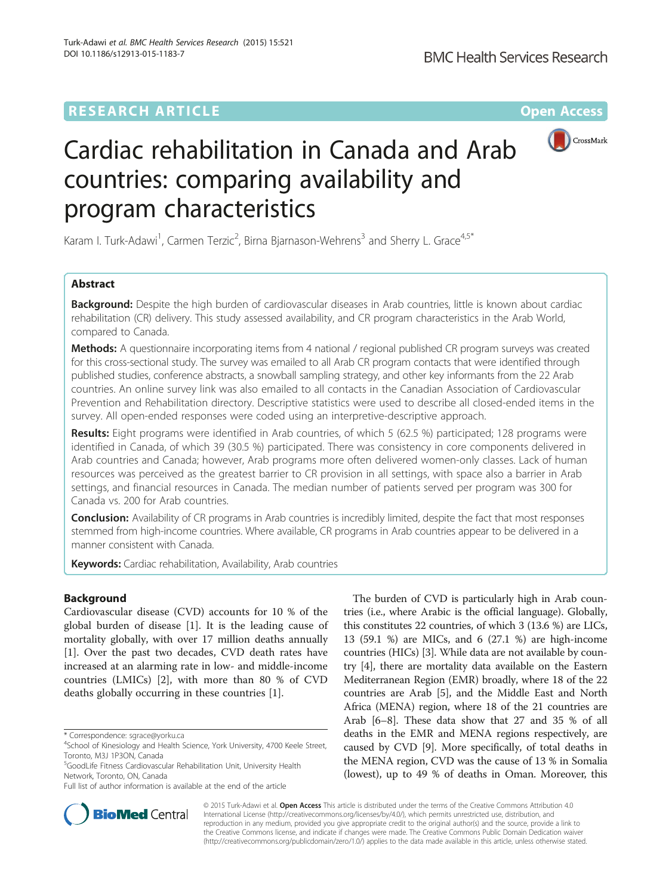# **RESEARCH ARTICLE Example 2018 12:00 Department of the Contract Open Access**



# Cardiac rehabilitation in Canada and Arab countries: comparing availability and program characteristics

Karam I. Turk-Adawi<sup>1</sup>, Carmen Terzic<sup>2</sup>, Birna Bjarnason-Wehrens<sup>3</sup> and Sherry L. Grace<sup>4,5\*</sup>

# Abstract

Background: Despite the high burden of cardiovascular diseases in Arab countries, little is known about cardiac rehabilitation (CR) delivery. This study assessed availability, and CR program characteristics in the Arab World, compared to Canada.

Methods: A questionnaire incorporating items from 4 national / regional published CR program surveys was created for this cross-sectional study. The survey was emailed to all Arab CR program contacts that were identified through published studies, conference abstracts, a snowball sampling strategy, and other key informants from the 22 Arab countries. An online survey link was also emailed to all contacts in the Canadian Association of Cardiovascular Prevention and Rehabilitation directory. Descriptive statistics were used to describe all closed-ended items in the survey. All open-ended responses were coded using an interpretive-descriptive approach.

Results: Eight programs were identified in Arab countries, of which 5 (62.5 %) participated; 128 programs were identified in Canada, of which 39 (30.5 %) participated. There was consistency in core components delivered in Arab countries and Canada; however, Arab programs more often delivered women-only classes. Lack of human resources was perceived as the greatest barrier to CR provision in all settings, with space also a barrier in Arab settings, and financial resources in Canada. The median number of patients served per program was 300 for Canada vs. 200 for Arab countries.

**Conclusion:** Availability of CR programs in Arab countries is incredibly limited, despite the fact that most responses stemmed from high-income countries. Where available, CR programs in Arab countries appear to be delivered in a manner consistent with Canada.

Keywords: Cardiac rehabilitation, Availability, Arab countries

# Background

Cardiovascular disease (CVD) accounts for 10 % of the global burden of disease [\[1\]](#page-8-0). It is the leading cause of mortality globally, with over 17 million deaths annually [[1\]](#page-8-0). Over the past two decades, CVD death rates have increased at an alarming rate in low- and middle-income countries (LMICs) [\[2](#page-8-0)], with more than 80 % of CVD deaths globally occurring in these countries [\[1](#page-8-0)].

The burden of CVD is particularly high in Arab countries (i.e., where Arabic is the official language). Globally, this constitutes 22 countries, of which 3 (13.6 %) are LICs, 13 (59.1 %) are MICs, and 6 (27.1 %) are high-income countries (HICs) [\[3\]](#page-8-0). While data are not available by country [[4\]](#page-8-0), there are mortality data available on the Eastern Mediterranean Region (EMR) broadly, where 18 of the 22 countries are Arab [\[5](#page-8-0)], and the Middle East and North Africa (MENA) region, where 18 of the 21 countries are Arab [[6](#page-8-0)–[8](#page-8-0)]. These data show that 27 and 35 % of all deaths in the EMR and MENA regions respectively, are caused by CVD [\[9](#page-8-0)]. More specifically, of total deaths in the MENA region, CVD was the cause of 13 % in Somalia (lowest), up to 49 % of deaths in Oman. Moreover, this



© 2015 Turk-Adawi et al. Open Access This article is distributed under the terms of the Creative Commons Attribution 4.0 International License [\(http://creativecommons.org/licenses/by/4.0/](http://creativecommons.org/licenses/by/4.0/)), which permits unrestricted use, distribution, and reproduction in any medium, provided you give appropriate credit to the original author(s) and the source, provide a link to the Creative Commons license, and indicate if changes were made. The Creative Commons Public Domain Dedication waiver [\(http://creativecommons.org/publicdomain/zero/1.0/](http://creativecommons.org/publicdomain/zero/1.0/)) applies to the data made available in this article, unless otherwise stated.

<sup>\*</sup> Correspondence: [sgrace@yorku.ca](mailto:sgrace@yorku.ca) <sup>4</sup>

<sup>&</sup>lt;sup>4</sup>School of Kinesiology and Health Science, York University, 4700 Keele Street, Toronto, M3J 1P3ON, Canada

<sup>5</sup> GoodLife Fitness Cardiovascular Rehabilitation Unit, University Health Network, Toronto, ON, Canada

Full list of author information is available at the end of the article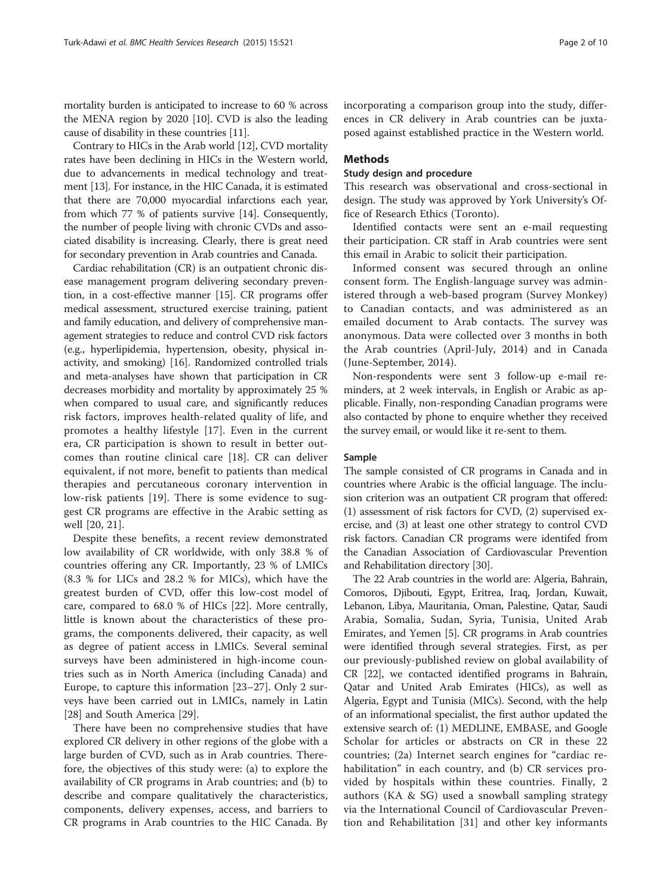mortality burden is anticipated to increase to 60 % across the MENA region by 2020 [[10](#page-8-0)]. CVD is also the leading cause of disability in these countries [\[11\]](#page-8-0).

Contrary to HICs in the Arab world [[12](#page-8-0)], CVD mortality rates have been declining in HICs in the Western world, due to advancements in medical technology and treatment [\[13\]](#page-8-0). For instance, in the HIC Canada, it is estimated that there are 70,000 myocardial infarctions each year, from which 77 % of patients survive [\[14\]](#page-8-0). Consequently, the number of people living with chronic CVDs and associated disability is increasing. Clearly, there is great need for secondary prevention in Arab countries and Canada.

Cardiac rehabilitation (CR) is an outpatient chronic disease management program delivering secondary prevention, in a cost-effective manner [\[15\]](#page-8-0). CR programs offer medical assessment, structured exercise training, patient and family education, and delivery of comprehensive management strategies to reduce and control CVD risk factors (e.g., hyperlipidemia, hypertension, obesity, physical inactivity, and smoking) [[16](#page-8-0)]. Randomized controlled trials and meta-analyses have shown that participation in CR decreases morbidity and mortality by approximately 25 % when compared to usual care, and significantly reduces risk factors, improves health-related quality of life, and promotes a healthy lifestyle [\[17](#page-8-0)]. Even in the current era, CR participation is shown to result in better outcomes than routine clinical care [[18\]](#page-8-0). CR can deliver equivalent, if not more, benefit to patients than medical therapies and percutaneous coronary intervention in low-risk patients [[19\]](#page-8-0). There is some evidence to suggest CR programs are effective in the Arabic setting as well [[20, 21\]](#page-8-0).

Despite these benefits, a recent review demonstrated low availability of CR worldwide, with only 38.8 % of countries offering any CR. Importantly, 23 % of LMICs (8.3 % for LICs and 28.2 % for MICs), which have the greatest burden of CVD, offer this low-cost model of care, compared to 68.0 % of HICs [\[22\]](#page-8-0). More centrally, little is known about the characteristics of these programs, the components delivered, their capacity, as well as degree of patient access in LMICs. Several seminal surveys have been administered in high-income countries such as in North America (including Canada) and Europe, to capture this information [\[23](#page-8-0)–[27\]](#page-8-0). Only 2 surveys have been carried out in LMICs, namely in Latin [[28\]](#page-8-0) and South America [\[29](#page-8-0)].

There have been no comprehensive studies that have explored CR delivery in other regions of the globe with a large burden of CVD, such as in Arab countries. Therefore, the objectives of this study were: (a) to explore the availability of CR programs in Arab countries; and (b) to describe and compare qualitatively the characteristics, components, delivery expenses, access, and barriers to CR programs in Arab countries to the HIC Canada. By incorporating a comparison group into the study, differences in CR delivery in Arab countries can be juxtaposed against established practice in the Western world.

#### Methods

## Study design and procedure

This research was observational and cross-sectional in design. The study was approved by York University's Office of Research Ethics (Toronto).

Identified contacts were sent an e-mail requesting their participation. CR staff in Arab countries were sent this email in Arabic to solicit their participation.

Informed consent was secured through an online consent form. The English-language survey was administered through a web-based program (Survey Monkey) to Canadian contacts, and was administered as an emailed document to Arab contacts. The survey was anonymous. Data were collected over 3 months in both the Arab countries (April-July, 2014) and in Canada (June-September, 2014).

Non-respondents were sent 3 follow-up e-mail reminders, at 2 week intervals, in English or Arabic as applicable. Finally, non-responding Canadian programs were also contacted by phone to enquire whether they received the survey email, or would like it re-sent to them.

# Sample

The sample consisted of CR programs in Canada and in countries where Arabic is the official language. The inclusion criterion was an outpatient CR program that offered: (1) assessment of risk factors for CVD, (2) supervised exercise, and (3) at least one other strategy to control CVD risk factors. Canadian CR programs were identifed from the Canadian Association of Cardiovascular Prevention and Rehabilitation directory [[30\]](#page-8-0).

The 22 Arab countries in the world are: Algeria, Bahrain, Comoros, Djibouti, Egypt, Eritrea, Iraq, Jordan, Kuwait, Lebanon, Libya, Mauritania, Oman, Palestine, Qatar, Saudi Arabia, Somalia, Sudan, Syria, Tunisia, United Arab Emirates, and Yemen [\[5](#page-8-0)]. CR programs in Arab countries were identified through several strategies. First, as per our previously-published review on global availability of CR [[22](#page-8-0)], we contacted identified programs in Bahrain, Qatar and United Arab Emirates (HICs), as well as Algeria, Egypt and Tunisia (MICs). Second, with the help of an informational specialist, the first author updated the extensive search of: (1) MEDLINE, EMBASE, and Google Scholar for articles or abstracts on CR in these 22 countries; (2a) Internet search engines for "cardiac rehabilitation" in each country, and (b) CR services provided by hospitals within these countries. Finally, 2 authors (KA & SG) used a snowball sampling strategy via the International Council of Cardiovascular Prevention and Rehabilitation [[31\]](#page-8-0) and other key informants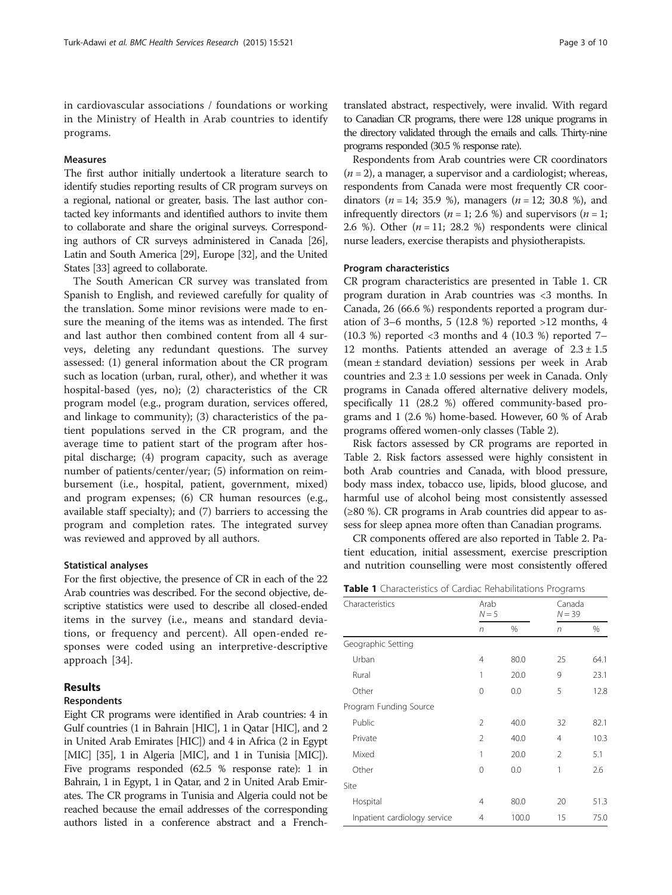in cardiovascular associations / foundations or working in the Ministry of Health in Arab countries to identify programs.

#### Measures

The first author initially undertook a literature search to identify studies reporting results of CR program surveys on a regional, national or greater, basis. The last author contacted key informants and identified authors to invite them to collaborate and share the original surveys. Corresponding authors of CR surveys administered in Canada [\[26](#page-8-0)], Latin and South America [\[29\]](#page-8-0), Europe [[32](#page-8-0)], and the United States [\[33\]](#page-8-0) agreed to collaborate.

The South American CR survey was translated from Spanish to English, and reviewed carefully for quality of the translation. Some minor revisions were made to ensure the meaning of the items was as intended. The first and last author then combined content from all 4 surveys, deleting any redundant questions. The survey assessed: (1) general information about the CR program such as location (urban, rural, other), and whether it was hospital-based (yes, no); (2) characteristics of the CR program model (e.g., program duration, services offered, and linkage to community); (3) characteristics of the patient populations served in the CR program, and the average time to patient start of the program after hospital discharge; (4) program capacity, such as average number of patients/center/year; (5) information on reimbursement (i.e., hospital, patient, government, mixed) and program expenses; (6) CR human resources (e.g., available staff specialty); and (7) barriers to accessing the program and completion rates. The integrated survey was reviewed and approved by all authors.

#### Statistical analyses

For the first objective, the presence of CR in each of the 22 Arab countries was described. For the second objective, descriptive statistics were used to describe all closed-ended items in the survey (i.e., means and standard deviations, or frequency and percent). All open-ended responses were coded using an interpretive-descriptive approach [\[34](#page-8-0)].

# Results

#### Respondents

Eight CR programs were identified in Arab countries: 4 in Gulf countries (1 in Bahrain [HIC], 1 in Qatar [HIC], and 2 in United Arab Emirates [HIC]) and 4 in Africa (2 in Egypt [MIC] [\[35\]](#page-8-0), 1 in Algeria [MIC], and 1 in Tunisia [MIC]). Five programs responded (62.5 % response rate): 1 in Bahrain, 1 in Egypt, 1 in Qatar, and 2 in United Arab Emirates. The CR programs in Tunisia and Algeria could not be reached because the email addresses of the corresponding authors listed in a conference abstract and a Frenchtranslated abstract, respectively, were invalid. With regard to Canadian CR programs, there were 128 unique programs in the directory validated through the emails and calls. Thirty-nine programs responded (30.5 % response rate).

Respondents from Arab countries were CR coordinators  $(n = 2)$ , a manager, a supervisor and a cardiologist; whereas, respondents from Canada were most frequently CR coordinators ( $n = 14$ ; 35.9 %), managers ( $n = 12$ ; 30.8 %), and infrequently directors ( $n = 1$ ; 2.6 %) and supervisors ( $n = 1$ ; 2.6 %). Other  $(n = 11; 28.2)$  % respondents were clinical nurse leaders, exercise therapists and physiotherapists.

#### Program characteristics

CR program characteristics are presented in Table 1. CR program duration in Arab countries was <3 months. In Canada, 26 (66.6 %) respondents reported a program duration of 3–6 months, 5 (12.8 %) reported  $>12$  months, 4  $(10.3 \%)$  reported <3 months and 4  $(10.3 \%)$  reported 7– 12 months. Patients attended an average of  $2.3 \pm 1.5$ (mean ± standard deviation) sessions per week in Arab countries and  $2.3 \pm 1.0$  sessions per week in Canada. Only programs in Canada offered alternative delivery models, specifically 11 (28.2 %) offered community-based programs and 1 (2.6 %) home-based. However, 60 % of Arab programs offered women-only classes (Table [2](#page-3-0)).

Risk factors assessed by CR programs are reported in Table [2.](#page-3-0) Risk factors assessed were highly consistent in both Arab countries and Canada, with blood pressure, body mass index, tobacco use, lipids, blood glucose, and harmful use of alcohol being most consistently assessed (≥80 %). CR programs in Arab countries did appear to assess for sleep apnea more often than Canadian programs.

CR components offered are also reported in Table [2](#page-3-0). Patient education, initial assessment, exercise prescription and nutrition counselling were most consistently offered

Table 1 Characteristics of Cardiac Rehabilitations Programs

| Characteristics              | Arab<br>$N = 5$ |       | Canada<br>$N = 39$ |      |
|------------------------------|-----------------|-------|--------------------|------|
|                              | n               | %     | n                  | %    |
| Geographic Setting           |                 |       |                    |      |
| Urban                        | 4               | 80.0  | 25                 | 64.1 |
| Rural                        | 1               | 20.0  | 9                  | 23.1 |
| Other                        | $\Omega$        | 0.0   | 5                  | 12.8 |
| Program Funding Source       |                 |       |                    |      |
| Public                       | 2               | 40.0  | 32                 | 82.1 |
| Private                      | 2               | 40.0  | $\overline{4}$     | 10.3 |
| Mixed                        | 1               | 20.0  | $\mathfrak{D}$     | 5.1  |
| Other                        | 0               | 0.0   | 1                  | 2.6  |
| Site                         |                 |       |                    |      |
| Hospital                     | 4               | 80.0  | 20                 | 51.3 |
| Inpatient cardiology service | 4               | 100.0 | 15                 | 75.0 |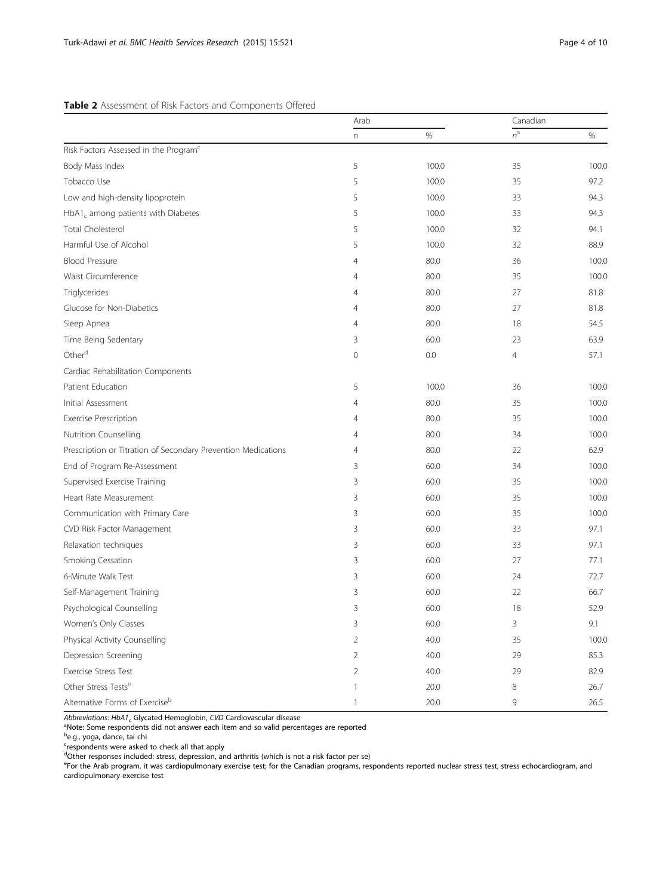# <span id="page-3-0"></span>Table 2 Assessment of Risk Factors and Components Offered

|                                                               | Arab           |       | Canadian |       |
|---------------------------------------------------------------|----------------|-------|----------|-------|
|                                                               | n              | $\%$  | $n^a$    | $\%$  |
| Risk Factors Assessed in the Program <sup>c</sup>             |                |       |          |       |
| Body Mass Index                                               | 5              | 100.0 | 35       | 100.0 |
| Tobacco Use                                                   | 5              | 100.0 | 35       | 97.2  |
| Low and high-density lipoprotein                              | 5              | 100.0 | 33       | 94.3  |
| $HbA1c$ among patients with Diabetes                          | 5              | 100.0 | 33       | 94.3  |
| Total Cholesterol                                             | 5              | 100.0 | 32       | 94.1  |
| Harmful Use of Alcohol                                        | 5              | 100.0 | 32       | 88.9  |
| <b>Blood Pressure</b>                                         | 4              | 80.0  | 36       | 100.0 |
| Waist Circumference                                           | 4              | 80.0  | 35       | 100.0 |
| Triglycerides                                                 | 4              | 80.0  | 27       | 81.8  |
| Glucose for Non-Diabetics                                     | 4              | 80.0  | 27       | 81.8  |
| Sleep Apnea                                                   | 4              | 80.0  | 18       | 54.5  |
| Time Being Sedentary                                          | 3              | 60.0  | 23       | 63.9  |
| Other <sup>d</sup>                                            | 0              | 0.0   | 4        | 57.1  |
| Cardiac Rehabilitation Components                             |                |       |          |       |
| Patient Education                                             | 5              | 100.0 | 36       | 100.0 |
| Initial Assessment                                            | 4              | 80.0  | 35       | 100.0 |
| <b>Exercise Prescription</b>                                  | 4              | 80.0  | 35       | 100.0 |
| Nutrition Counselling                                         | 4              | 80.0  | 34       | 100.0 |
| Prescription or Titration of Secondary Prevention Medications | 4              | 80.0  | 22       | 62.9  |
| End of Program Re-Assessment                                  | 3              | 60.0  | 34       | 100.0 |
| Supervised Exercise Training                                  | 3              | 60.0  | 35       | 100.0 |
| Heart Rate Measurement                                        | 3              | 60.0  | 35       | 100.0 |
| Communication with Primary Care                               | 3              | 60.0  | 35       | 100.0 |
| CVD Risk Factor Management                                    | 3              | 60.0  | 33       | 97.1  |
| Relaxation techniques                                         | 3              | 60.0  | 33       | 97.1  |
| Smoking Cessation                                             | 3              | 60.0  | 27       | 77.1  |
| 6-Minute Walk Test                                            | 3              | 60.0  | 24       | 72.7  |
| Self-Management Training                                      | 3              | 60.0  | 22       | 66.7  |
| Psychological Counselling                                     | 3              | 60.0  | 18       | 52.9  |
| Women's Only Classes                                          | 3              | 60.0  | 3        | 9.1   |
| Physical Activity Counselling                                 | $\overline{2}$ | 40.0  | 35       | 100.0 |
| Depression Screening                                          | $\overline{2}$ | 40.0  | 29       | 85.3  |
| Exercise Stress Test                                          | $\overline{2}$ | 40.0  | 29       | 82.9  |
| Other Stress Tests <sup>e</sup>                               | $\mathbf{1}$   | 20.0  | 8        | 26.7  |
| Alternative Forms of Exercise <sup>b</sup>                    | $\mathbf{1}$   | 20.0  | 9        | 26.5  |

Abbreviations:  $HbA1_c$  Glycated Hemoglobin, CVD Cardiovascular disease

<sup>a</sup>Note: Some respondents did not answer each item and so valid percentages are reported<br><sup>b</sup>e.g., yoga, dance, tai chi

e<br><sup>c</sup>respondents were asked to check all that apply<br><sup>d</sup>Other responses included: stress, depression, and arthritis (which is not a risk factor per se)

e<br>For the Arab program, it was cardiopulmonary exercise test; for the Canadian programs, respondents reported nuclear stress test, stress echocardiogram, and cardiopulmonary exercise test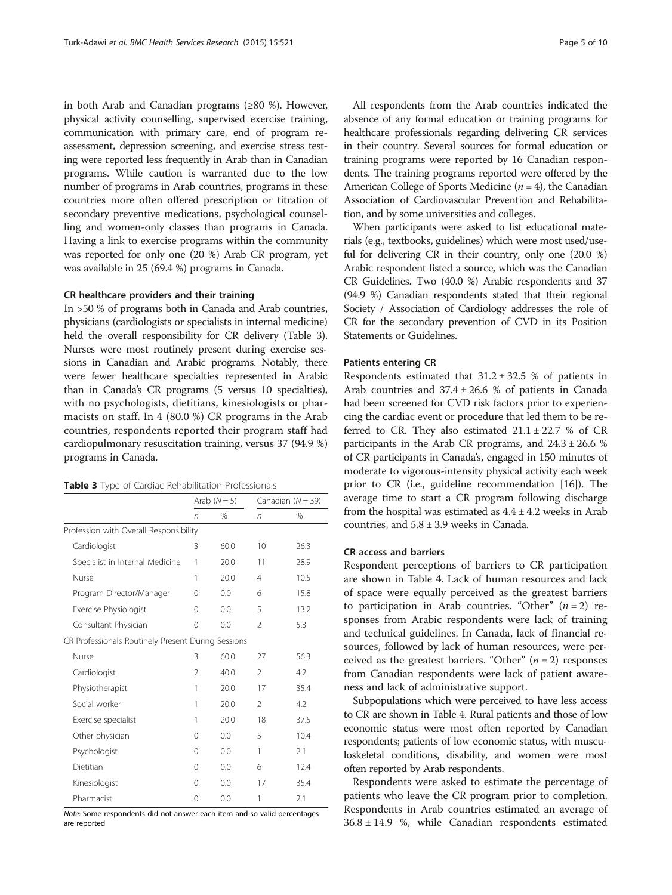in both Arab and Canadian programs (≥80 %). However, physical activity counselling, supervised exercise training, communication with primary care, end of program reassessment, depression screening, and exercise stress testing were reported less frequently in Arab than in Canadian programs. While caution is warranted due to the low number of programs in Arab countries, programs in these countries more often offered prescription or titration of secondary preventive medications, psychological counselling and women-only classes than programs in Canada. Having a link to exercise programs within the community was reported for only one (20 %) Arab CR program, yet was available in 25 (69.4 %) programs in Canada.

#### CR healthcare providers and their training

In >50 % of programs both in Canada and Arab countries, physicians (cardiologists or specialists in internal medicine) held the overall responsibility for CR delivery (Table 3). Nurses were most routinely present during exercise sessions in Canadian and Arabic programs. Notably, there were fewer healthcare specialties represented in Arabic than in Canada's CR programs (5 versus 10 specialties), with no psychologists, dietitians, kinesiologists or pharmacists on staff. In 4 (80.0 %) CR programs in the Arab countries, respondents reported their program staff had cardiopulmonary resuscitation training, versus 37 (94.9 %) programs in Canada.

|  | Table 3 Type of Cardiac Rehabilitation Professionals |  |
|--|------------------------------------------------------|--|
|--|------------------------------------------------------|--|

|                                                    | Arab $(N = 5)$ |               |                          | Canadian $(N = 39)$ |
|----------------------------------------------------|----------------|---------------|--------------------------|---------------------|
|                                                    | $\sqrt{n}$     | $\frac{0}{0}$ | n                        | %                   |
| Profession with Overall Responsibility             |                |               |                          |                     |
| Cardiologist                                       | 3              | 60.0          | 10                       | 26.3                |
| Specialist in Internal Medicine                    | 1              | 20.0          | 11                       | 28.9                |
| Nurse                                              | 1              | 20.0          | $\overline{4}$           | 10.5                |
| Program Director/Manager                           | $\Omega$       | 0.0           | 6                        | 15.8                |
| Exercise Physiologist                              | 0              | 0.0           | 5                        | 13.2                |
| Consultant Physician                               | 0              | 0.0           | $\overline{\phantom{a}}$ | 5.3                 |
| CR Professionals Routinely Present During Sessions |                |               |                          |                     |
| Nurse                                              | 3              | 60.0          | 27                       | 56.3                |
| Cardiologist                                       | $\mathfrak{D}$ | 40.0          | $\mathfrak{D}$           | 4.2                 |
| Physiotherapist                                    | 1              | 20.0          | 17                       | 35.4                |
| Social worker                                      | 1              | 20.0          | $\mathfrak{D}$           | 4.2                 |
| Exercise specialist                                | 1              | 20.0          | 18                       | 37.5                |
| Other physician                                    | $\Omega$       | 0.0           | 5                        | 10.4                |
| Psychologist                                       | 0              | 0.0           | 1                        | 2.1                 |
| Dietitian                                          | $\Omega$       | 0.0           | 6                        | 12.4                |
| Kinesiologist                                      | 0              | 0.0           | 17                       | 35.4                |
| Pharmacist                                         | 0              | 0.0           | 1                        | 2.1                 |

Note: Some respondents did not answer each item and so valid percentages are reported

All respondents from the Arab countries indicated the absence of any formal education or training programs for healthcare professionals regarding delivering CR services in their country. Several sources for formal education or training programs were reported by 16 Canadian respondents. The training programs reported were offered by the American College of Sports Medicine  $(n = 4)$ , the Canadian Association of Cardiovascular Prevention and Rehabilitation, and by some universities and colleges.

When participants were asked to list educational materials (e.g., textbooks, guidelines) which were most used/useful for delivering CR in their country, only one (20.0 %) Arabic respondent listed a source, which was the Canadian CR Guidelines. Two (40.0 %) Arabic respondents and 37 (94.9 %) Canadian respondents stated that their regional Society / Association of Cardiology addresses the role of CR for the secondary prevention of CVD in its Position Statements or Guidelines.

#### Patients entering CR

Respondents estimated that  $31.2 \pm 32.5$  % of patients in Arab countries and  $37.4 \pm 26.6$  % of patients in Canada had been screened for CVD risk factors prior to experiencing the cardiac event or procedure that led them to be referred to CR. They also estimated  $21.1 \pm 22.7$  % of CR participants in the Arab CR programs, and  $24.3 \pm 26.6$  % of CR participants in Canada's, engaged in 150 minutes of moderate to vigorous-intensity physical activity each week prior to CR (i.e., guideline recommendation [[16](#page-8-0)]). The average time to start a CR program following discharge from the hospital was estimated as  $4.4 \pm 4.2$  weeks in Arab countries, and  $5.8 \pm 3.9$  weeks in Canada.

# CR access and barriers

Respondent perceptions of barriers to CR participation are shown in Table [4](#page-5-0). Lack of human resources and lack of space were equally perceived as the greatest barriers to participation in Arab countries. "Other"  $(n = 2)$  responses from Arabic respondents were lack of training and technical guidelines. In Canada, lack of financial resources, followed by lack of human resources, were perceived as the greatest barriers. "Other"  $(n = 2)$  responses from Canadian respondents were lack of patient awareness and lack of administrative support.

Subpopulations which were perceived to have less access to CR are shown in Table [4.](#page-5-0) Rural patients and those of low economic status were most often reported by Canadian respondents; patients of low economic status, with musculoskeletal conditions, disability, and women were most often reported by Arab respondents.

Respondents were asked to estimate the percentage of patients who leave the CR program prior to completion. Respondents in Arab countries estimated an average of  $36.8 \pm 14.9$  %, while Canadian respondents estimated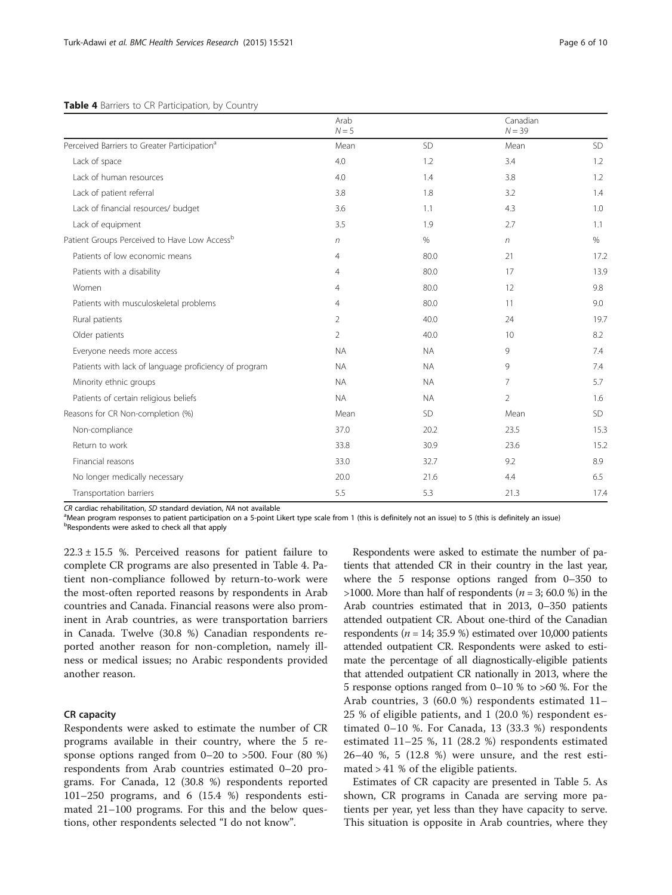|                                                          | Arab<br>$N = 5$ |           | Canadian<br>$N = 39$ |           |
|----------------------------------------------------------|-----------------|-----------|----------------------|-----------|
| Perceived Barriers to Greater Participation <sup>a</sup> | Mean            | SD        | Mean                 | <b>SD</b> |
| Lack of space                                            | 4.0             | 1.2       | 3.4                  | 1.2       |
| Lack of human resources                                  | 4.0             | 1.4       | 3.8                  | 1.2       |
| Lack of patient referral                                 | 3.8             | 1.8       | 3.2                  | 1.4       |
| Lack of financial resources/ budget                      | 3.6             | 1.1       | 4.3                  | 1.0       |
| Lack of equipment                                        | 3.5             | 1.9       | 2.7                  | 1.1       |
| Patient Groups Perceived to Have Low Access <sup>b</sup> | $\sqrt{n}$      | $\%$      | $\eta$               | $\%$      |
| Patients of low economic means                           | 4               | 80.0      | 21                   | 17.2      |
| Patients with a disability                               | 4               | 80.0      | 17                   | 13.9      |
| Women                                                    | 4               | 80.0      | 12                   | 9.8       |
| Patients with musculoskeletal problems                   | 4               | 80.0      | 11                   | 9.0       |
| Rural patients                                           | 2               | 40.0      | 24                   | 19.7      |
| Older patients                                           | $\overline{2}$  | 40.0      | 10                   | 8.2       |
| Everyone needs more access                               | <b>NA</b>       | <b>NA</b> | 9                    | 7.4       |
| Patients with lack of language proficiency of program    | <b>NA</b>       | <b>NA</b> | 9                    | 7.4       |
| Minority ethnic groups                                   | <b>NA</b>       | <b>NA</b> | 7                    | 5.7       |
| Patients of certain religious beliefs                    | <b>NA</b>       | <b>NA</b> | $\overline{2}$       | 1.6       |
| Reasons for CR Non-completion (%)                        | Mean            | SD        | Mean                 | <b>SD</b> |
| Non-compliance                                           | 37.0            | 20.2      | 23.5                 | 15.3      |
| Return to work                                           | 33.8            | 30.9      | 23.6                 | 15.2      |
| Financial reasons                                        | 33.0            | 32.7      | 9.2                  | 8.9       |
| No longer medically necessary                            | 20.0            | 21.6      | 4.4                  | 6.5       |
| Transportation barriers                                  | 5.5             | 5.3       | 21.3                 | 17.4      |

#### <span id="page-5-0"></span>Table 4 Barriers to CR Participation, by Country

 $CR$  cardiac rehabilitation,  $SD$  standard deviation, NA not available

<sup>a</sup>Mean program responses to patient participation on a 5-point Likert type scale from 1 (this is definitely not an issue) to 5 (this is definitely an issue) **bRespondents were asked to check all that apply** 

 $22.3 \pm 15.5$  %. Perceived reasons for patient failure to complete CR programs are also presented in Table 4. Patient non-compliance followed by return-to-work were the most-often reported reasons by respondents in Arab countries and Canada. Financial reasons were also prominent in Arab countries, as were transportation barriers in Canada. Twelve (30.8 %) Canadian respondents reported another reason for non-completion, namely illness or medical issues; no Arabic respondents provided another reason.

# CR capacity

Respondents were asked to estimate the number of CR programs available in their country, where the 5 response options ranged from 0–20 to >500. Four (80 %) respondents from Arab countries estimated 0–20 programs. For Canada, 12 (30.8 %) respondents reported 101–250 programs, and 6 (15.4 %) respondents estimated 21–100 programs. For this and the below questions, other respondents selected "I do not know".

Respondents were asked to estimate the number of patients that attended CR in their country in the last year, where the 5 response options ranged from 0–350 to  $>1000$ . More than half of respondents ( $n = 3$ ; 60.0 %) in the Arab countries estimated that in 2013, 0–350 patients attended outpatient CR. About one-third of the Canadian respondents ( $n = 14$ ; 35.9 %) estimated over 10,000 patients attended outpatient CR. Respondents were asked to estimate the percentage of all diagnostically-eligible patients that attended outpatient CR nationally in 2013, where the 5 response options ranged from 0–10 % to >60 %. For the Arab countries, 3 (60.0 %) respondents estimated 11– 25 % of eligible patients, and 1 (20.0 %) respondent estimated 0–10 %. For Canada, 13 (33.3 %) respondents estimated 11–25 %, 11 (28.2 %) respondents estimated 26–40 %, 5 (12.8 %) were unsure, and the rest estimated > 41 % of the eligible patients.

Estimates of CR capacity are presented in Table [5.](#page-6-0) As shown, CR programs in Canada are serving more patients per year, yet less than they have capacity to serve. This situation is opposite in Arab countries, where they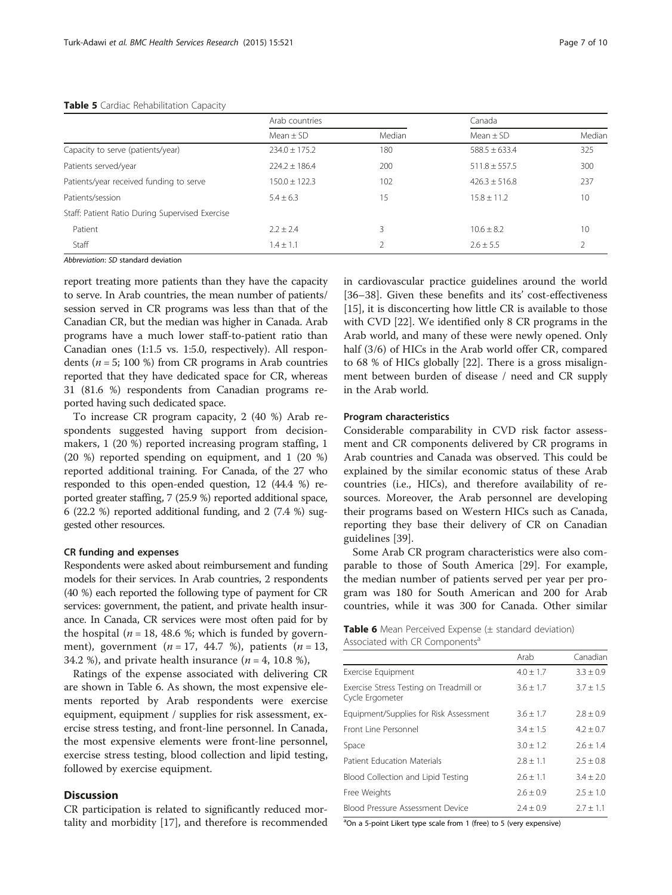#### <span id="page-6-0"></span>Table 5 Cardiac Rehabilitation Capacity

|                                                 | Arab countries    |        | Canada            |        |
|-------------------------------------------------|-------------------|--------|-------------------|--------|
|                                                 | Mean $\pm$ SD     | Median | Mean $\pm$ SD     | Median |
| Capacity to serve (patients/year)               | $234.0 \pm 175.2$ | 180    | $588.5 \pm 633.4$ | 325    |
| Patients served/year                            | $224.2 \pm 186.4$ | 200    | $511.8 \pm 557.5$ | 300    |
| Patients/year received funding to serve         | $150.0 \pm 122.3$ | 102    | $426.3 \pm 516.8$ | 237    |
| Patients/session                                | $5.4 \pm 6.3$     | 15     | $15.8 + 11.2$     | 10     |
| Staff: Patient Ratio During Supervised Exercise |                   |        |                   |        |
| Patient                                         | $2.2 \pm 2.4$     | 3      | $10.6 \pm 8.2$    | 10     |
| Staff                                           | $1.4 \pm 1.1$     |        | $2.6 + 5.5$       |        |

Abbreviation: SD standard deviation

report treating more patients than they have the capacity to serve. In Arab countries, the mean number of patients/ session served in CR programs was less than that of the Canadian CR, but the median was higher in Canada. Arab programs have a much lower staff-to-patient ratio than Canadian ones (1:1.5 vs. 1:5.0, respectively). All respondents ( $n = 5$ ; 100 %) from CR programs in Arab countries reported that they have dedicated space for CR, whereas 31 (81.6 %) respondents from Canadian programs reported having such dedicated space.

To increase CR program capacity, 2 (40 %) Arab respondents suggested having support from decisionmakers, 1 (20 %) reported increasing program staffing, 1 (20 %) reported spending on equipment, and 1 (20 %) reported additional training. For Canada, of the 27 who responded to this open-ended question, 12 (44.4 %) reported greater staffing, 7 (25.9 %) reported additional space, 6 (22.2 %) reported additional funding, and 2 (7.4 %) suggested other resources.

# CR funding and expenses

Respondents were asked about reimbursement and funding models for their services. In Arab countries, 2 respondents (40 %) each reported the following type of payment for CR services: government, the patient, and private health insurance. In Canada, CR services were most often paid for by the hospital ( $n = 18$ , 48.6 %; which is funded by government), government ( $n = 17$ , 44.7 %), patients ( $n = 13$ , 34.2 %), and private health insurance ( $n = 4$ , 10.8 %),

Ratings of the expense associated with delivering CR are shown in Table 6. As shown, the most expensive elements reported by Arab respondents were exercise equipment, equipment / supplies for risk assessment, exercise stress testing, and front-line personnel. In Canada, the most expensive elements were front-line personnel, exercise stress testing, blood collection and lipid testing, followed by exercise equipment.

# **Discussion**

CR participation is related to significantly reduced mortality and morbidity [\[17\]](#page-8-0), and therefore is recommended in cardiovascular practice guidelines around the world [[36](#page-8-0)–[38](#page-8-0)]. Given these benefits and its' cost-effectiveness [[15\]](#page-8-0), it is disconcerting how little CR is available to those with CVD [[22](#page-8-0)]. We identified only 8 CR programs in the Arab world, and many of these were newly opened. Only half (3/6) of HICs in the Arab world offer CR, compared to 68 % of HICs globally [\[22](#page-8-0)]. There is a gross misalignment between burden of disease / need and CR supply in the Arab world.

#### Program characteristics

Considerable comparability in CVD risk factor assessment and CR components delivered by CR programs in Arab countries and Canada was observed. This could be explained by the similar economic status of these Arab countries (i.e., HICs), and therefore availability of resources. Moreover, the Arab personnel are developing their programs based on Western HICs such as Canada, reporting they base their delivery of CR on Canadian guidelines [[39\]](#page-9-0).

Some Arab CR program characteristics were also comparable to those of South America [[29](#page-8-0)]. For example, the median number of patients served per year per program was 180 for South American and 200 for Arab countries, while it was 300 for Canada. Other similar

| <b>Table 6</b> Mean Perceived Expense (± standard deviation) |  |  |  |
|--------------------------------------------------------------|--|--|--|
| Associated with CR Components <sup>a</sup>                   |  |  |  |

|                                                            | Arab          | Canadian      |
|------------------------------------------------------------|---------------|---------------|
| <b>Exercise Equipment</b>                                  | $4.0 \pm 1.7$ | $3.3 \pm 0.9$ |
| Exercise Stress Testing on Treadmill or<br>Cycle Ergometer | $3.6 \pm 1.7$ | $3.7 \pm 1.5$ |
| Equipment/Supplies for Risk Assessment                     | $3.6 \pm 1.7$ | $2.8 \pm 0.9$ |
| Front Line Personnel                                       | $3.4 \pm 1.5$ | $4.2 \pm 0.7$ |
| Space                                                      | $3.0 \pm 1.2$ | $2.6 \pm 1.4$ |
| Patient Education Materials                                | $2.8 + 1.1$   | $2.5 \pm 0.8$ |
| Blood Collection and Lipid Testing                         | $2.6 \pm 1.1$ | $3.4 \pm 2.0$ |
| Free Weights                                               | $2.6 \pm 0.9$ | $2.5 \pm 1.0$ |
| Blood Pressure Assessment Device                           | $7.4 + 0.9$   | $2.7 \pm 1.1$ |

<sup>a</sup>On a 5-point Likert type scale from 1 (free) to 5 (very expensive)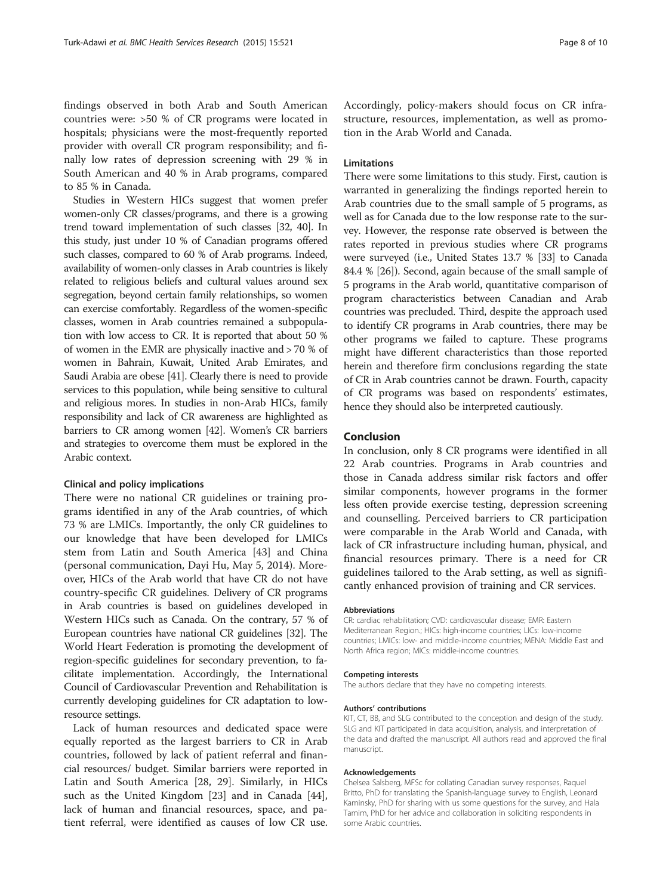findings observed in both Arab and South American countries were: >50 % of CR programs were located in hospitals; physicians were the most-frequently reported provider with overall CR program responsibility; and finally low rates of depression screening with 29 % in South American and 40 % in Arab programs, compared to 85 % in Canada.

Studies in Western HICs suggest that women prefer women-only CR classes/programs, and there is a growing trend toward implementation of such classes [[32](#page-8-0), [40\]](#page-9-0). In this study, just under 10 % of Canadian programs offered such classes, compared to 60 % of Arab programs. Indeed, availability of women-only classes in Arab countries is likely related to religious beliefs and cultural values around sex segregation, beyond certain family relationships, so women can exercise comfortably. Regardless of the women-specific classes, women in Arab countries remained a subpopulation with low access to CR. It is reported that about 50 % of women in the EMR are physically inactive and > 70 % of women in Bahrain, Kuwait, United Arab Emirates, and Saudi Arabia are obese [\[41\]](#page-9-0). Clearly there is need to provide services to this population, while being sensitive to cultural and religious mores. In studies in non-Arab HICs, family responsibility and lack of CR awareness are highlighted as barriers to CR among women [\[42\]](#page-9-0). Women's CR barriers and strategies to overcome them must be explored in the Arabic context.

#### Clinical and policy implications

There were no national CR guidelines or training programs identified in any of the Arab countries, of which 73 % are LMICs. Importantly, the only CR guidelines to our knowledge that have been developed for LMICs stem from Latin and South America [\[43\]](#page-9-0) and China (personal communication, Dayi Hu, May 5, 2014). Moreover, HICs of the Arab world that have CR do not have country-specific CR guidelines. Delivery of CR programs in Arab countries is based on guidelines developed in Western HICs such as Canada. On the contrary, 57 % of European countries have national CR guidelines [[32](#page-8-0)]. The World Heart Federation is promoting the development of region-specific guidelines for secondary prevention, to facilitate implementation. Accordingly, the International Council of Cardiovascular Prevention and Rehabilitation is currently developing guidelines for CR adaptation to lowresource settings.

Lack of human resources and dedicated space were equally reported as the largest barriers to CR in Arab countries, followed by lack of patient referral and financial resources/ budget. Similar barriers were reported in Latin and South America [\[28](#page-8-0), [29](#page-8-0)]. Similarly, in HICs such as the United Kingdom [[23\]](#page-8-0) and in Canada [\[44](#page-9-0)], lack of human and financial resources, space, and patient referral, were identified as causes of low CR use. Accordingly, policy-makers should focus on CR infrastructure, resources, implementation, as well as promotion in the Arab World and Canada.

# Limitations

There were some limitations to this study. First, caution is warranted in generalizing the findings reported herein to Arab countries due to the small sample of 5 programs, as well as for Canada due to the low response rate to the survey. However, the response rate observed is between the rates reported in previous studies where CR programs were surveyed (i.e., United States 13.7 % [[33](#page-8-0)] to Canada 84.4 % [[26\]](#page-8-0)). Second, again because of the small sample of 5 programs in the Arab world, quantitative comparison of program characteristics between Canadian and Arab countries was precluded. Third, despite the approach used to identify CR programs in Arab countries, there may be other programs we failed to capture. These programs might have different characteristics than those reported herein and therefore firm conclusions regarding the state of CR in Arab countries cannot be drawn. Fourth, capacity of CR programs was based on respondents' estimates, hence they should also be interpreted cautiously.

# Conclusion

In conclusion, only 8 CR programs were identified in all 22 Arab countries. Programs in Arab countries and those in Canada address similar risk factors and offer similar components, however programs in the former less often provide exercise testing, depression screening and counselling. Perceived barriers to CR participation were comparable in the Arab World and Canada, with lack of CR infrastructure including human, physical, and financial resources primary. There is a need for CR guidelines tailored to the Arab setting, as well as significantly enhanced provision of training and CR services.

#### Abbreviations

CR: cardiac rehabilitation; CVD: cardiovascular disease; EMR: Eastern Mediterranean Region.; HICs: high-income countries; LICs: low-income countries; LMICs: low- and middle-income countries; MENA: Middle East and North Africa region; MICs: middle-income countries.

#### Competing interests

The authors declare that they have no competing interests.

#### Authors' contributions

KIT, CT, BB, and SLG contributed to the conception and design of the study. SLG and KIT participated in data acquisition, analysis, and interpretation of the data and drafted the manuscript. All authors read and approved the final manuscript.

#### Acknowledgements

Chelsea Salsberg, MFSc for collating Canadian survey responses, Raquel Britto, PhD for translating the Spanish-language survey to English, Leonard Kaminsky, PhD for sharing with us some questions for the survey, and Hala Tamim, PhD for her advice and collaboration in soliciting respondents in some Arabic countries.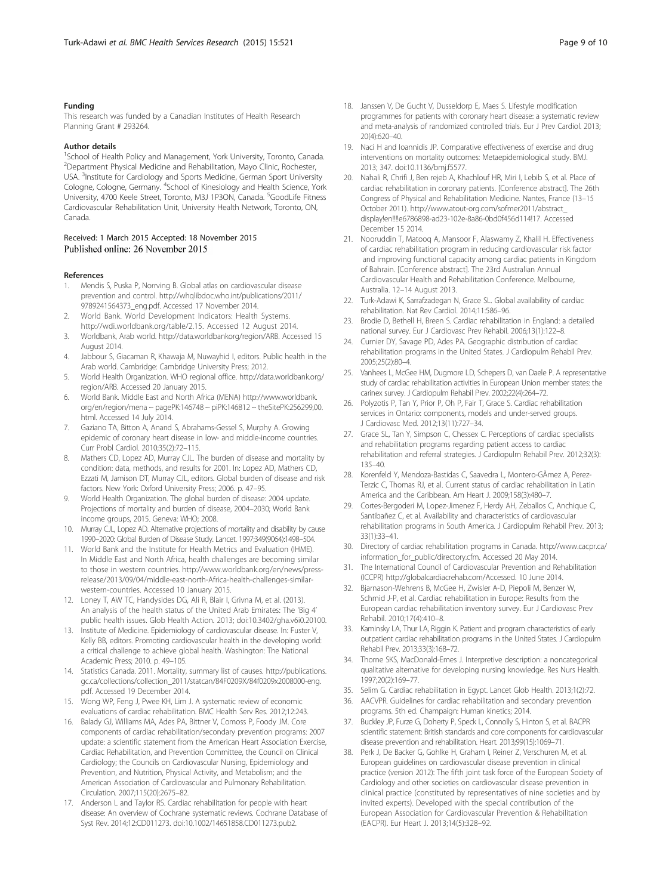#### <span id="page-8-0"></span>Funding

This research was funded by a Canadian Institutes of Health Research Planning Grant # 293264.

#### Author details

<sup>1</sup>School of Health Policy and Management, York University, Toronto, Canada. <sup>2</sup> Department Physical Medicine and Rehabilitation, Mayo Clinic, Rochester, USA. <sup>3</sup>Institute for Cardiology and Sports Medicine, German Sport University Cologne, Cologne, Germany. <sup>4</sup>School of Kinesiology and Health Science, York University, 4700 Keele Street, Toronto, M3J 1P3ON, Canada. <sup>5</sup>GoodLife Fitness Cardiovascular Rehabilitation Unit, University Health Network, Toronto, ON, Canada.

#### Received: 1 March 2015 Accepted: 18 November 2015 Published online: 26 November 2015

#### References

- Mendis S, Puska P, Norrving B. Global atlas on cardiovascular disease prevention and control. [http://whqlibdoc.who.int/publications/2011/](http://whqlibdoc.who.int/publications/2011/9789241564373_eng.pdf) [9789241564373\\_eng.pdf](http://whqlibdoc.who.int/publications/2011/9789241564373_eng.pdf). Accessed 17 November 2014.
- World Bank. World Development Indicators: Health Systems. <http://wdi.worldbank.org/table/2.15>. Accessed 12 August 2014.
- 3. Worldbank, Arab world. [http://data.worldbankorg/region/ARB.](http://data.worldbankorg/region/ARB) Accessed 15 August 2014.
- 4. Jabbour S, Giacaman R, Khawaja M, Nuwayhid I, editors. Public health in the Arab world. Cambridge: Cambridge University Press; 2012.
- 5. World Health Organization. WHO regional office. [http://data.worldbank.org/](http://data.worldbank.org/region/ARB) [region/ARB.](http://data.worldbank.org/region/ARB) Accessed 20 January 2015.
- 6. World Bank. Middle East and North Africa (MENA) [http://www.worldbank.](http://www.worldbank.org/en/region/mena) [org/en/region/mena](http://www.worldbank.org/en/region/mena) ~ pagePK:146748 ~ piPK:146812 ~ theSitePK:256299,00. html. Accessed 14 July 2014.
- 7. Gaziano TA, Bitton A, Anand S, Abrahams-Gessel S, Murphy A. Growing epidemic of coronary heart disease in low- and middle-income countries. Curr Probl Cardiol. 2010;35(2):72–115.
- 8. Mathers CD, Lopez AD, Murray CJL. The burden of disease and mortality by condition: data, methods, and results for 2001. In: Lopez AD, Mathers CD, Ezzati M, Jamison DT, Murray CJL, editors. Global burden of disease and risk factors. New York: Oxford University Press; 2006. p. 47–95.
- 9. World Health Organization. The global burden of disease: 2004 update. Projections of mortality and burden of disease, 2004–2030; World Bank income groups, 2015. Geneva: WHO; 2008.
- 10. Murray CJL, Lopez AD. Alternative projections of mortality and disability by cause 1990–2020: Global Burden of Disease Study. Lancet. 1997;349(9064):1498–504.
- 11. World Bank and the Institute for Health Metrics and Evaluation (IHME). In Middle East and North Africa, health challenges are becoming similar to those in western countries. [http://www.worldbank.org/en/news/press](http://www.worldbank.org/en/news/press-release/2013/09/04/middle-east-north-Africa-health-challenges-similar-western-countries)[release/2013/09/04/middle-east-north-Africa-health-challenges-similar](http://www.worldbank.org/en/news/press-release/2013/09/04/middle-east-north-Africa-health-challenges-similar-western-countries)[western-countries.](http://www.worldbank.org/en/news/press-release/2013/09/04/middle-east-north-Africa-health-challenges-similar-western-countries) Accessed 10 January 2015.
- 12. Loney T, AW TC, Handysides DG, Ali R, Blair I, Grivna M, et al. (2013). An analysis of the health status of the United Arab Emirates: The 'Big 4' public health issues. Glob Health Action. 2013; doi[:10.3402/gha.v6i0.20100](http://dx.doi.org/10.3402/gha.v6i0.20100).
- 13. Institute of Medicine. Epidemiology of cardiovascular disease. In: Fuster V, Kelly BB, editors. Promoting cardiovascular health in the developing world: a critical challenge to achieve global health. Washington: The National Academic Press; 2010. p. 49–105.
- 14. Statistics Canada. 2011. Mortality, summary list of causes. [http://publications.](http://publications.gc.ca/collections/collection_2011/statcan/84F0209X/84f0209x2008000-eng.pdf) [gc.ca/collections/collection\\_2011/statcan/84F0209X/84f0209x2008000-eng.](http://publications.gc.ca/collections/collection_2011/statcan/84F0209X/84f0209x2008000-eng.pdf) [pdf](http://publications.gc.ca/collections/collection_2011/statcan/84F0209X/84f0209x2008000-eng.pdf). Accessed 19 December 2014.
- 15. Wong WP, Feng J, Pwee KH, Lim J. A systematic review of economic evaluations of cardiac rehabilitation. BMC Health Serv Res. 2012;12:243.
- 16. Balady GJ, Williams MA, Ades PA, Bittner V, Comoss P, Foody JM. Core components of cardiac rehabilitation/secondary prevention programs: 2007 update: a scientific statement from the American Heart Association Exercise, Cardiac Rehabilitation, and Prevention Committee, the Council on Clinical Cardiology; the Councils on Cardiovascular Nursing, Epidemiology and Prevention, and Nutrition, Physical Activity, and Metabolism; and the American Association of Cardiovascular and Pulmonary Rehabilitation. Circulation. 2007;115(20):2675–82.
- 17. Anderson L and Taylor RS. Cardiac rehabilitation for people with heart disease: An overview of Cochrane systematic reviews. Cochrane Database of Syst Rev. 2014;12:CD011273. doi:10.1002/14651858.CD011273.pub2.
- 18. Janssen V, De Gucht V, Dusseldorp E, Maes S. Lifestyle modification programmes for patients with coronary heart disease: a systematic review and meta-analysis of randomized controlled trials. Eur J Prev Cardiol. 2013; 20(4):620–40.
- 19. Naci H and Ioannidis JP. Comparative effectiveness of exercise and drug interventions on mortality outcomes: Metaepidemiological study. BMJ. 2013; 347. doi:[10.1136/bmj.f5577](http://dx.doi.org/10.1136/bmj.f5577).
- 20. Nahali R, Chrifi J, Ben rejeb A, Khachlouf HR, Miri I, Lebib S, et al. Place of cardiac rehabilitation in coronary patients. [Conference abstract]. The 26th Congress of Physical and Rehabilitation Medicine. Nantes, France (13–15 October 2011). [http://www.atout-org.com/sofmer2011/abstract\\_](http://www.atout-org.com/sofmer2011/abstract_display!en!!!!e6786898-ad23-102e-8a86-0bd0f456d114!17) [display!en!!!!e6786898-ad23-102e-8a86-0bd0f456d114!17](http://www.atout-org.com/sofmer2011/abstract_display!en!!!!e6786898-ad23-102e-8a86-0bd0f456d114!17). Accessed December 15 2014.
- 21. Nooruddin T, Matooq A, Mansoor F, Alaswamy Z, Khalil H. Effectiveness of cardiac rehabilitation program in reducing cardiovascular risk factor and improving functional capacity among cardiac patients in Kingdom of Bahrain. [Conference abstract]. The 23rd Australian Annual Cardiovascular Health and Rehabilitation Conference. Melbourne, Australia. 12–14 August 2013.
- 22. Turk-Adawi K, Sarrafzadegan N, Grace SL. Global availability of cardiac rehabilitation. Nat Rev Cardiol. 2014;11:586–96.
- 23. Brodie D, Bethell H, Breen S. Cardiac rehabilitation in England: a detailed national survey. Eur J Cardiovasc Prev Rehabil. 2006;13(1):122–8.
- 24. Curnier DY, Savage PD, Ades PA. Geographic distribution of cardiac rehabilitation programs in the United States. J Cardiopulm Rehabil Prev. 2005;25(2):80–4.
- 25. Vanhees L, McGee HM, Dugmore LD, Schepers D, van Daele P. A representative study of cardiac rehabilitation activities in European Union member states: the carinex survey. J Cardiopulm Rehabil Prev. 2002;22(4):264–72.
- 26. Polyzotis P, Tan Y, Prior P, Oh P, Fair T, Grace S. Cardiac rehabilitation services in Ontario: components, models and under-served groups. J Cardiovasc Med. 2012;13(11):727–34.
- 27. Grace SL, Tan Y, Simpson C, Chessex C. Perceptions of cardiac specialists and rehabilitation programs regarding patient access to cardiac rehabilitation and referral strategies. J Cardiopulm Rehabil Prev. 2012;32(3): 135–40.
- 28. Korenfeld Y, Mendoza-Bastidas C, Saavedra L, Montero-GÃmez A, Perez-Terzic C, Thomas RJ, et al. Current status of cardiac rehabilitation in Latin America and the Caribbean. Am Heart J. 2009;158(3):480–7.
- 29. Cortes-Bergoderi M, Lopez-Jimenez F, Herdy AH, Zeballos C, Anchique C, Santibañez C, et al. Availability and characteristics of cardiovascular rehabilitation programs in South America. J Cardiopulm Rehabil Prev. 2013; 33(1):33–41.
- 30. Directory of cardiac rehabilitation programs in Canada. [http://www.cacpr.ca/](http://www.cacpr.ca/information_for_public/directory.cfm) [information\\_for\\_public/directory.cfm.](http://www.cacpr.ca/information_for_public/directory.cfm) Accessed 20 May 2014.
- 31. The International Council of Cardiovascular Prevention and Rehabilitation (ICCPR) [http://globalcardiacrehab.com/Accessed.](http://globalcardiacrehab.com/Accessed) 10 June 2014.
- 32. Bjarnason-Wehrens B, McGee H, Zwisler A-D, Piepoli M, Benzer W, Schmid J-P, et al. Cardiac rehabilitation in Europe: Results from the European cardiac rehabilitation inventory survey. Eur J Cardiovasc Prev Rehabil. 2010;17(4):410–8.
- 33. Kaminsky LA, Thur LA, Riggin K. Patient and program characteristics of early outpatient cardiac rehabilitation programs in the United States. J Cardiopulm Rehabil Prev. 2013;33(3):168–72.
- 34. Thorne SKS, MacDonald-Emes J. Interpretive description: a noncategorical qualitative alternative for developing nursing knowledge. Res Nurs Health. 1997;20(2):169–77.
- 35. Selim G. Cardiac rehabilitation in Egypt. Lancet Glob Health. 2013;1(2):72.
- 36. AACVPR. Guidelines for cardiac rehabilitation and secondary prevention programs. 5th ed. Champaign: Human kinetics; 2014.
- 37. Buckley JP, Furze G, Doherty P, Speck L, Connolly S, Hinton S, et al. BACPR scientific statement: British standards and core components for cardiovascular disease prevention and rehabilitation. Heart. 2013;99(15):1069–71.
- 38. Perk J, De Backer G, Gohlke H, Graham I, Reiner Z, Verschuren M, et al. European guidelines on cardiovascular disease prevention in clinical practice (version 2012): The fifth joint task force of the European Society of Cardiology and other societies on cardiovascular disease prevention in clinical practice (constituted by representatives of nine societies and by invited experts). Developed with the special contribution of the European Association for Cardiovascular Prevention & Rehabilitation (EACPR). Eur Heart J. 2013;14(5):328–92.